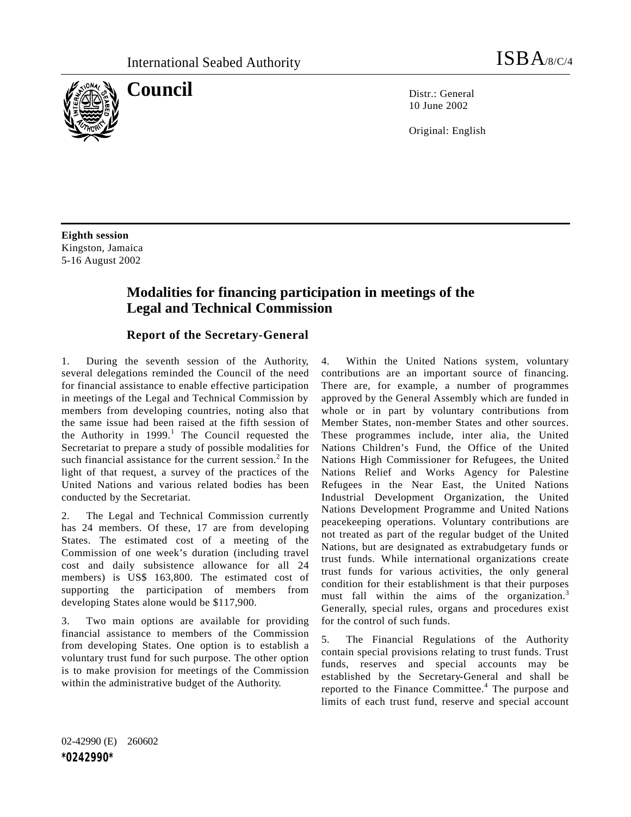

**Council** Distribution Distribution Distribution Distribution Distribution Distribution Distribution Distribution Distribution Distribution Distribution Distribution Distribution Distribution Distribution Distribution Dist

10 June 2002

Original: English

**Eighth session** Kingston, Jamaica 5-16 August 2002

## **Modalities for financing participation in meetings of the Legal and Technical Commission**

## **Report of the Secretary-General**

1. During the seventh session of the Authority, several delegations reminded the Council of the need for financial assistance to enable effective participation in meetings of the Legal and Technical Commission by members from developing countries, noting also that the same issue had been raised at the fifth session of the Authority in  $1999$ .<sup>1</sup> The Council requested the Secretariat to prepare a study of possible modalities for such financial assistance for the current session.<sup>2</sup> In the light of that request, a survey of the practices of the United Nations and various related bodies has been conducted by the Secretariat.

2. The Legal and Technical Commission currently has 24 members. Of these, 17 are from developing States. The estimated cost of a meeting of the Commission of one week's duration (including travel cost and daily subsistence allowance for all 24 members) is US\$ 163,800. The estimated cost of supporting the participation of members from developing States alone would be \$117,900.

3. Two main options are available for providing financial assistance to members of the Commission from developing States. One option is to establish a voluntary trust fund for such purpose. The other option is to make provision for meetings of the Commission within the administrative budget of the Authority.

4. Within the United Nations system, voluntary contributions are an important source of financing. There are, for example, a number of programmes approved by the General Assembly which are funded in whole or in part by voluntary contributions from Member States, non-member States and other sources. These programmes include, inter alia, the United Nations Children's Fund, the Office of the United Nations High Commissioner for Refugees, the United Nations Relief and Works Agency for Palestine Refugees in the Near East, the United Nations Industrial Development Organization, the United Nations Development Programme and United Nations peacekeeping operations. Voluntary contributions are not treated as part of the regular budget of the United Nations, but are designated as extrabudgetary funds or trust funds. While international organizations create trust funds for various activities, the only general condition for their establishment is that their purposes must fall within the aims of the organization.<sup>3</sup> Generally, special rules, organs and procedures exist for the control of such funds.

5. The Financial Regulations of the Authority contain special provisions relating to trust funds. Trust funds, reserves and special accounts may be established by the Secretary-General and shall be reported to the Finance Committee.<sup>4</sup> The purpose and limits of each trust fund, reserve and special account